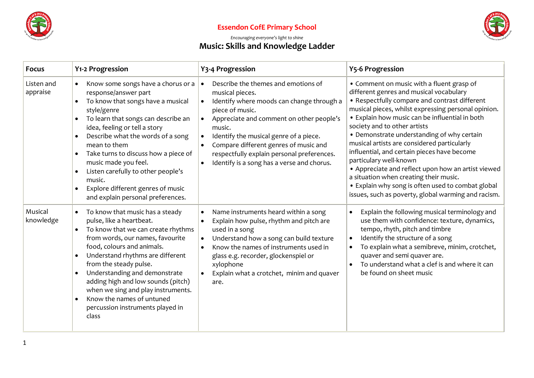

## **Essendon CofE Primary School**



## *Encouraging everyone's light to shine* **Music: Skills and Knowledge Ladder**

| <b>Focus</b>           | Y1-2 Progression                                                                                                                                                                                                                                                                                                                                                                                                                                                             | Y3-4 Progression                                                                                                                                                                                                                                                                                                                                                                                   | <b>Y5-6 Progression</b>                                                                                                                                                                                                                                                                                                                                                                                                                                                                                                                                                                                                                                          |
|------------------------|------------------------------------------------------------------------------------------------------------------------------------------------------------------------------------------------------------------------------------------------------------------------------------------------------------------------------------------------------------------------------------------------------------------------------------------------------------------------------|----------------------------------------------------------------------------------------------------------------------------------------------------------------------------------------------------------------------------------------------------------------------------------------------------------------------------------------------------------------------------------------------------|------------------------------------------------------------------------------------------------------------------------------------------------------------------------------------------------------------------------------------------------------------------------------------------------------------------------------------------------------------------------------------------------------------------------------------------------------------------------------------------------------------------------------------------------------------------------------------------------------------------------------------------------------------------|
| Listen and<br>appraise | Know some songs have a chorus or a<br>$\bullet$<br>response/answer part<br>To know that songs have a musical<br>style/genre<br>To learn that songs can describe an<br>idea, feeling or tell a story<br>Describe what the words of a song<br>mean to them<br>Take turns to discuss how a piece of<br>$\bullet$<br>music made you feel.<br>Listen carefully to other people's<br>$\bullet$<br>music.<br>Explore different genres of music<br>and explain personal preferences. | Describe the themes and emotions of<br>$\bullet$<br>musical pieces.<br>Identify where moods can change through a<br>$\bullet$<br>piece of music.<br>Appreciate and comment on other people's<br>music.<br>Identify the musical genre of a piece.<br>$\bullet$<br>Compare different genres of music and<br>respectfully explain personal preferences.<br>Identify is a song has a verse and chorus. | • Comment on music with a fluent grasp of<br>different genres and musical vocabulary<br>• Respectfully compare and contrast different<br>musical pieces, whilst expressing personal opinion.<br>• Explain how music can be influential in both<br>society and to other artists<br>• Demonstrate understanding of why certain<br>musical artists are considered particularly<br>influential, and certain pieces have become<br>particulary well-known<br>• Appreciate and reflect upon how an artist viewed<br>a situation when creating their music.<br>• Explain why song is often used to combat global<br>issues, such as poverty, global warming and racism. |
| Musical<br>knowledge   | To know that music has a steady<br>$\bullet$<br>pulse, like a heartbeat.<br>To know that we can create rhythms<br>from words, our names, favourite<br>food, colours and animals.<br>Understand rhythms are different<br>$\bullet$<br>from the steady pulse.<br>Understanding and demonstrate<br>$\bullet$<br>adding high and low sounds (pitch)<br>when we sing and play instruments.<br>Know the names of untuned<br>$\bullet$<br>percussion instruments played in<br>class | Name instruments heard within a song<br>Explain how pulse, rhythm and pitch are<br>used in a song<br>Understand how a song can build texture<br>$\bullet$<br>Know the names of instruments used in<br>glass e.g. recorder, glockenspiel or<br>xylophone<br>Explain what a crotchet, minim and quaver<br>$\bullet$<br>are.                                                                          | Explain the following musical terminology and<br>use them with confidence: texture, dynamics,<br>tempo, rhyth, pitch and timbre<br>Identify the structure of a song<br>To explain what a semibreve, minim, crotchet,<br>quaver and semi quaver are.<br>To understand what a clef is and where it can<br>be found on sheet music                                                                                                                                                                                                                                                                                                                                  |